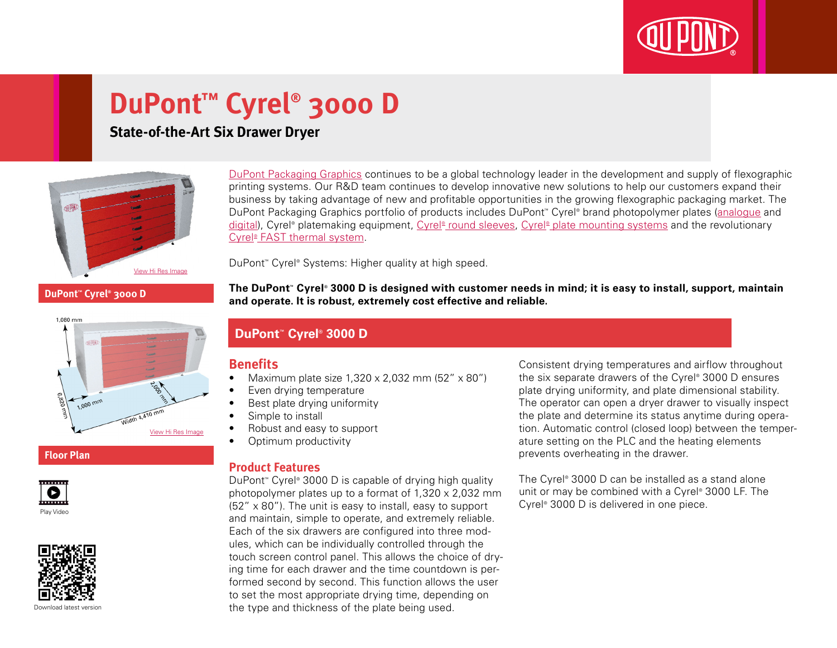

# **DuPont™ Cyrel® 3000 D**

### **State-of-the-Art Six Drawer Dryer**



[DuPont Packaging Graphics](http://www2.dupont.com/Packaging_Graphics/en_GB/index.html) continues to be a global technology leader in the development and supply of flexographic printing systems. Our R&D team continues to develop innovative new solutions to help our customers expand their business by taking advantage of new and profitable opportunities in the growing flexographic packaging market. The DuPont Packaging Graphics portfolio of products includes DuPont™ Cyrel® brand photopolymer plates ([analogue](http://www2.dupont.com/Packaging_Graphics/en_GB/products/solvent_platemaking/index.html) and [digital\)](http://www2.dupont.com/Packaging_Graphics/en_GB/products/digital_wkflow/digital_workflow.html), Cyrel® platemaking equipment, Cyrel® [round sleeves](http://www2.dupont.com/Packaging_Graphics/en_GB/products/cyrel_round/index_cyrelround2.html), Cyrel® [plate mounting systems](http://www2.dupont.com/Packaging_Graphics/en_GB/products/mounting_systems/index.html) and the revolutionary Cyrel<sup>®</sup> [FAST thermal system.](http://www2.dupont.com/Packaging_Graphics/en_GB/products/cyrel_fast/cyrelfast_index.html)

DuPont™ Cyrel® Systems: Higher quality at high speed.

**The DuPont™ Cyrel® 3000 D is designed with customer needs in mind; it is easy to install, support, maintain DuPont™ Cyrel® 3000 D**



#### **Floor Plan**





## **and operate. It is robust, extremely cost effective and reliable.**

## **DuPont™ Cyrel® 3000 D**

### **Benefits**

- Maximum plate size  $1,320 \times 2,032$  mm  $(52'' \times 80'')$
- • Even drying temperature
- Best plate drying uniformity
- Simple to install
- Robust and easy to support
- Optimum productivity

#### **Product Features**

DuPont™ Cyrel® 3000 D is capable of drying high quality photopolymer plates up to a format of 1,320 x 2,032 mm  $(52'' \times 80'')$ . The unit is easy to install, easy to support and maintain, simple to operate, and extremely reliable. Each of the six drawers are configured into three modules, which can be individually controlled through the touch screen control panel. This allows the choice of drying time for each drawer and the time countdown is performed second by second. This function allows the user to set the most appropriate drying time, depending on the type and thickness of the plate being used.

Consistent drying temperatures and airflow throughout the six separate drawers of the Cyrel® 3000 D ensures plate drying uniformity, and plate dimensional stability. The operator can open a dryer drawer to visually inspect the plate and determine its status anytime during operation. Automatic control (closed loop) between the temperature setting on the PLC and the heating elements prevents overheating in the drawer.

The Cyrel® 3000 D can be installed as a stand alone unit or may be combined with a Cyrel® 3000 LF. The Cyrel® 3000 D is delivered in one piece.